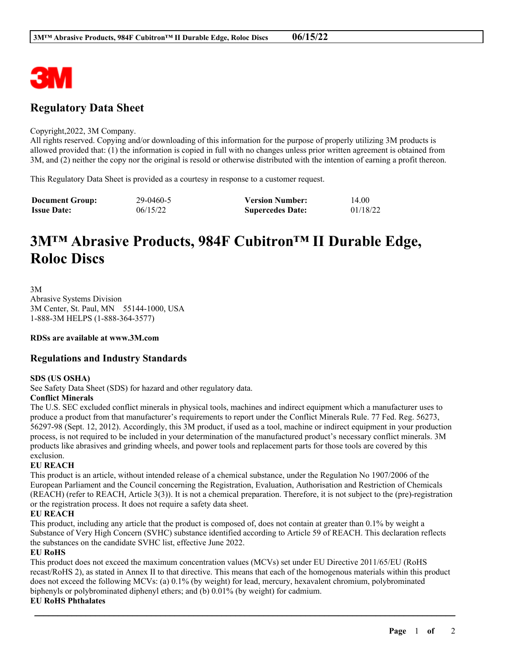

# **Regulatory Data Sheet**

#### Copyright,2022, 3M Company.

All rights reserved. Copying and/or downloading of this information for the purpose of properly utilizing 3M products is allowed provided that: (1) the information is copied in full with no changes unless prior written agreement is obtained from 3M, and (2) neither the copy nor the original is resold or otherwise distributed with the intention of earning a profit thereon.

This Regulatory Data Sheet is provided as a courtesy in response to a customer request.

| <b>Document Group:</b> | 29-0460-5 | <b>Version Number:</b>  | 14.00    |
|------------------------|-----------|-------------------------|----------|
| <b>Issue Date:</b>     | 06/15/22  | <b>Supercedes Date:</b> | 01/18/22 |

# **3M™ Abrasive Products, 984F Cubitron™ II Durable Edge, Roloc Discs**

3M

Abrasive Systems Division 3M Center, St. Paul, MN 55144-1000, USA 1-888-3M HELPS (1-888-364-3577)

**RDSs are available at www.3M.com**

# **Regulations and Industry Standards**

#### **SDS (US OSHA)**

See Safety Data Sheet (SDS) for hazard and other regulatory data.

## **Conflict Minerals**

The U.S. SEC excluded conflict minerals in physical tools, machines and indirect equipment which a manufacturer uses to produce a product from that manufacturer's requirements to report under the Conflict Minerals Rule. 77 Fed. Reg. 56273, 56297-98 (Sept. 12, 2012). Accordingly, this 3M product, if used as a tool, machine or indirect equipment in your production process, is not required to be included in your determination of the manufactured product's necessary conflict minerals. 3M products like abrasives and grinding wheels, and power tools and replacement parts for those tools are covered by this exclusion.

#### **EU REACH**

This product is an article, without intended release of a chemical substance, under the Regulation No 1907/2006 of the European Parliament and the Council concerning the Registration, Evaluation, Authorisation and Restriction of Chemicals (REACH) (refer to REACH, Article 3(3)). It is not a chemical preparation. Therefore, it is not subject to the (pre)-registration or the registration process. It does not require a safety data sheet.

## **EU REACH**

This product, including any article that the product is composed of, does not contain at greater than 0.1% by weight a Substance of Very High Concern (SVHC) substance identified according to Article 59 of REACH. This declaration reflects the substances on the candidate SVHC list, effective June 2022.

#### **EU RoHS**

This product does not exceed the maximum concentration values (MCVs) set under EU Directive 2011/65/EU (RoHS recast/RoHS 2), as stated in Annex II to that directive. This means that each of the homogenous materials within this product does not exceed the following MCVs: (a) 0.1% (by weight) for lead, mercury, hexavalent chromium, polybrominated biphenyls or polybrominated diphenyl ethers; and (b) 0.01% (by weight) for cadmium.

\_\_\_\_\_\_\_\_\_\_\_\_\_\_\_\_\_\_\_\_\_\_\_\_\_\_\_\_\_\_\_\_\_\_\_\_\_\_\_\_\_\_\_\_\_\_\_\_\_\_\_\_\_\_\_\_\_\_\_\_\_\_\_\_\_\_\_\_\_\_\_\_\_\_\_\_\_\_\_\_\_\_\_\_\_\_\_\_\_\_

#### **EU RoHS Phthalates**